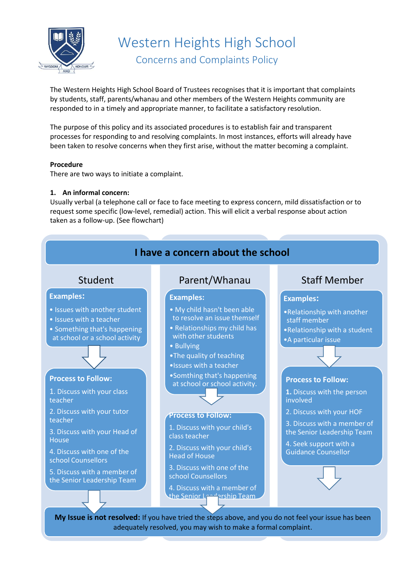

Western Heights High School Concerns and Complaints Policy

The Western Heights High School Board of Trustees recognises that it is important that complaints by students, staff, parents/whanau and other members of the Western Heights community are responded to in a timely and appropriate manner, to facilitate a satisfactory resolution.

The purpose of this policy and its associated procedures is to establish fair and transparent processes for responding to and resolving complaints. In most instances, efforts will already have been taken to resolve concerns when they first arise, without the matter becoming a complaint.

## **Procedure**

There are two ways to initiate a complaint.

## **1. An informal concern:**

Usually verbal (a telephone call or face to face meeting to express concern, mild dissatisfaction or to request some specific (low-level, remedial) action. This will elicit a verbal response about action taken as a follow-up. (See flowchart)



adequately resolved, you may wish to make a formal complaint.